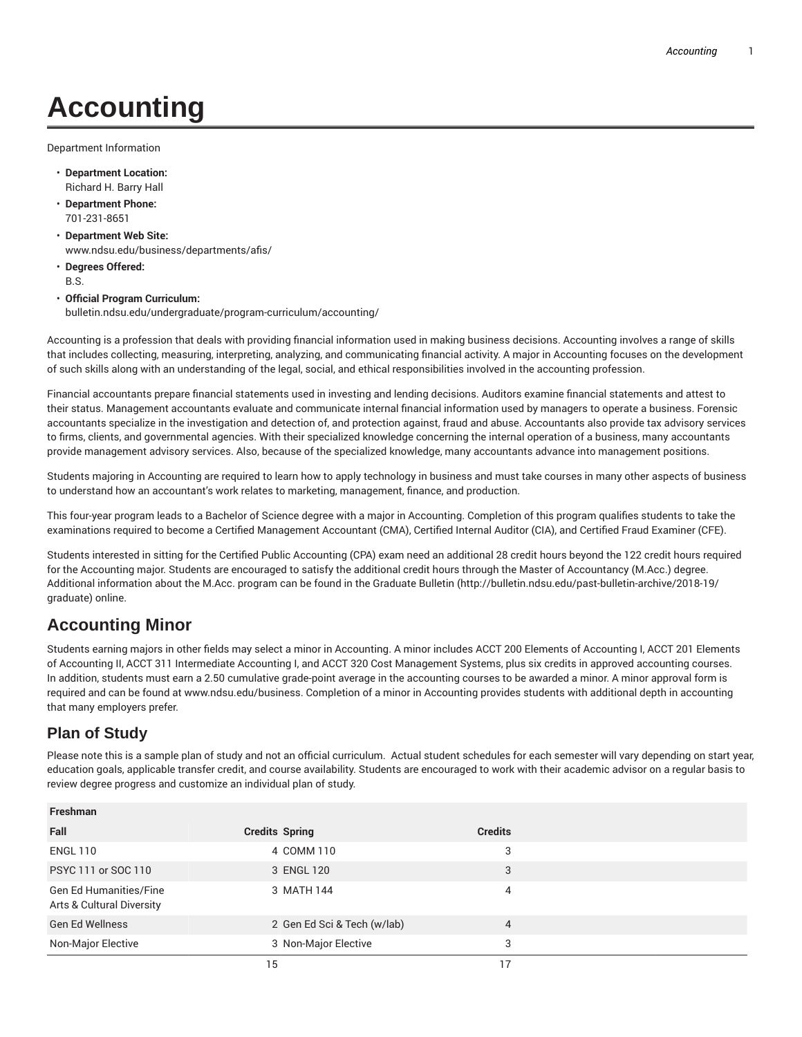# **Accounting**

Department Information

- **Department Location:** Richard H. Barry Hall
- **Department Phone:** 701-231-8651
- **Department Web Site:** www.ndsu.edu/business/departments/afis/
- **Degrees Offered:** B.S.

#### • **Official Program Curriculum:** bulletin.ndsu.edu/undergraduate/program-curriculum/accounting/

Accounting is a profession that deals with providing financial information used in making business decisions. Accounting involves a range of skills that includes collecting, measuring, interpreting, analyzing, and communicating financial activity. A major in Accounting focuses on the development of such skills along with an understanding of the legal, social, and ethical responsibilities involved in the accounting profession.

Financial accountants prepare financial statements used in investing and lending decisions. Auditors examine financial statements and attest to their status. Management accountants evaluate and communicate internal financial information used by managers to operate a business. Forensic accountants specialize in the investigation and detection of, and protection against, fraud and abuse. Accountants also provide tax advisory services to firms, clients, and governmental agencies. With their specialized knowledge concerning the internal operation of a business, many accountants provide management advisory services. Also, because of the specialized knowledge, many accountants advance into management positions.

Students majoring in Accounting are required to learn how to apply technology in business and must take courses in many other aspects of business to understand how an accountant's work relates to marketing, management, finance, and production.

This four-year program leads to a Bachelor of Science degree with a major in Accounting. Completion of this program qualifies students to take the examinations required to become a Certified Management Accountant (CMA), Certified Internal Auditor (CIA), and Certified Fraud Examiner (CFE).

Students interested in sitting for the Certified Public Accounting (CPA) exam need an additional 28 credit hours beyond the 122 credit hours required for the Accounting major. Students are encouraged to satisfy the additional credit hours through the Master of Accountancy (M.Acc.) degree. Additional information about the M.Acc. program can be found in the Graduate Bulletin (http://bulletin.ndsu.edu/past-bulletin-archive/2018-19/ graduate) online.

## **Accounting Minor**

Students earning majors in other fields may select a minor in Accounting. A minor includes ACCT 200 Elements of Accounting I, ACCT 201 Elements of Accounting II, ACCT 311 Intermediate Accounting I, and ACCT 320 Cost Management Systems, plus six credits in approved accounting courses. In addition, students must earn a 2.50 cumulative grade-point average in the accounting courses to be awarded a minor. A minor approval form is required and can be found at www.ndsu.edu/business. Completion of a minor in Accounting provides students with additional depth in accounting that many employers prefer.

### **Plan of Study**

Please note this is a sample plan of study and not an official curriculum. Actual student schedules for each semester will vary depending on start year, education goals, applicable transfer credit, and course availability. Students are encouraged to work with their academic advisor on a regular basis to review degree progress and customize an individual plan of study.

| <b>Freshman</b>                                     |                             |                |  |
|-----------------------------------------------------|-----------------------------|----------------|--|
| Fall                                                | <b>Credits Spring</b>       | <b>Credits</b> |  |
| <b>ENGL 110</b>                                     | 4 COMM 110                  | 3              |  |
| PSYC 111 or SOC 110                                 | 3 ENGL 120                  | 3              |  |
| Gen Ed Humanities/Fine<br>Arts & Cultural Diversity | 3 MATH 144                  | 4              |  |
| <b>Gen Ed Wellness</b>                              | 2 Gen Ed Sci & Tech (w/lab) | 4              |  |
| Non-Major Elective                                  | 3 Non-Major Elective        | 3              |  |
|                                                     | 15                          |                |  |